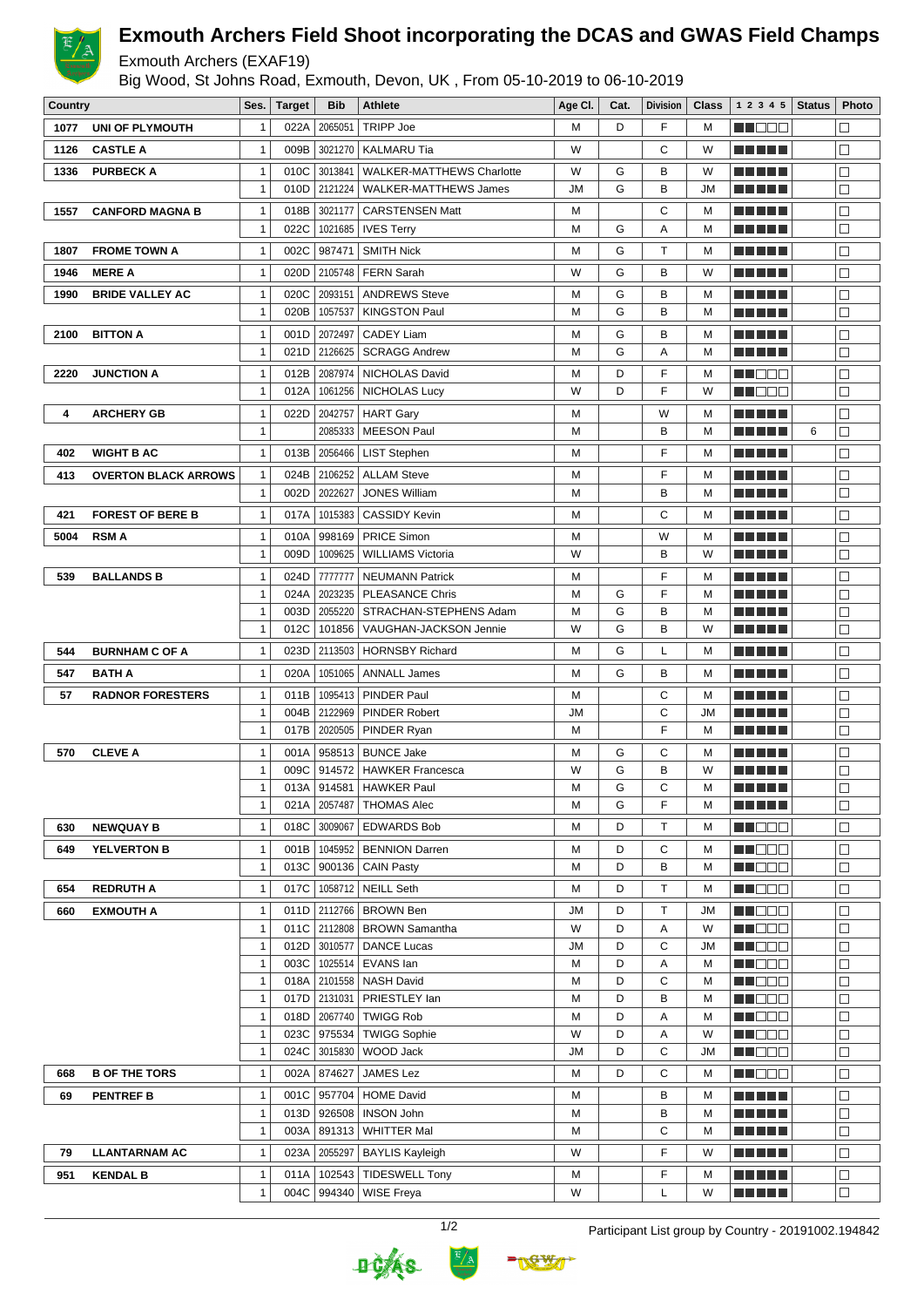

## **Exmouth Archers Field Shoot incorporating the DCAS and GWAS Field Champs**

## Exmouth Archers (EXAF19)

Big Wood, St Johns Road, Exmouth, Devon, UK , From 05-10-2019 to 06-10-2019

| Country |                             | Ses.                         | <b>Target</b> | Bib          | <b>Athlete</b>                         | Age CI. | Cat.   | <b>Division</b> | Class  | 1 2 3 4 5                 | <b>Status</b> | Photo            |
|---------|-----------------------------|------------------------------|---------------|--------------|----------------------------------------|---------|--------|-----------------|--------|---------------------------|---------------|------------------|
| 1077    | UNI OF PLYMOUTH             | 1                            | 022A          | 2065051      | <b>TRIPP Joe</b>                       | M       | D      | F               | М      | HI EEE                    |               | П                |
| 1126    | <b>CASTLE A</b>             | $\mathbf{1}$                 | 009B          | 3021270      | <b>KALMARU Tia</b>                     | W       |        | C               | W      | M M M M M                 |               | $\Box$           |
| 1336    | <b>PURBECK A</b>            | $\mathbf{1}$                 | 010C          | 3013841      | <b>WALKER-MATTHEWS Charlotte</b>       | W       | G      | в               | W      | n di Biblio               |               | П                |
|         |                             | $\mathbf{1}$                 | 010D          | 2121224      | WALKER-MATTHEWS James                  | JM      | G      | B               | JM     |                           |               | $\Box$           |
| 1557    | <b>CANFORD MAGNA B</b>      | 1                            | 018B          | 3021177      | <b>CARSTENSEN Matt</b>                 | M       |        | С               | М      | <u> El Bertolo</u>        |               | $\Box$           |
|         |                             | $\mathbf{1}$                 | 022C          | 1021685      | <b>IVES Terry</b>                      | M       | G      | A               | М      |                           |               | $\Box$           |
| 1807    | <b>FROME TOWN A</b>         | 1                            | 002C          | 987471       | <b>SMITH Nick</b>                      | M       | G      | т               | M      | ME DE L                   |               | $\Box$           |
| 1946    | <b>MERE A</b>               | $\mathbf{1}$                 | 020D          | 2105748      | <b>FERN Sarah</b>                      | W       | G      | B               | W      | a da bar                  |               | $\Box$           |
| 1990    | <b>BRIDE VALLEY AC</b>      | $\mathbf{1}$                 | 020C          | 2093151      | <b>ANDREWS Steve</b>                   | M       | G      | B               | M      | <u> Liberal Maria II</u>  |               | $\Box$           |
|         |                             | $\mathbf{1}$                 | 020B          | 1057537      | <b>KINGSTON Paul</b>                   | M       | G      | B               | M      | M M M M M                 |               | $\Box$           |
| 2100    | <b>BITTON A</b>             | 1                            | 001D          | 2072497      | <b>CADEY Liam</b>                      | M       | G      | B               | M      | <u> Literatur in s</u>    |               | □                |
|         |                             | $\mathbf{1}$                 | 021D          | 2126625      | <b>SCRAGG Andrew</b>                   | M       | G      | Α               | М      |                           |               | $\Box$           |
| 2220    | <b>JUNCTION A</b>           | 1                            | 012B          | 2087974      | NICHOLAS David                         | M       | D      | F               | M      | MN 888                    |               | $\Box$           |
|         |                             | $\overline{1}$               | 012A          | 1061256      | <b>NICHOLAS Lucy</b>                   | W       | D      | F               | W      | M I E E E                 |               | $\Box$           |
| 4       | <b>ARCHERY GB</b>           | $\mathbf{1}$                 | 022D          | 2042757      | <b>HART Gary</b>                       | M       |        | W               | M      | <u> El El El </u>         |               | П                |
|         |                             | $\mathbf{1}$                 |               | 2085333      | <b>MEESON Paul</b>                     | M       |        | в               | М      | <u> Liberal Maria II</u>  | 6             | $\Box$           |
| 402     | <b>WIGHT B AC</b>           | $\mathbf{1}$                 | 013B          | 2056466      | <b>LIST Stephen</b>                    | M       |        | F               | М      | a da birnin b             |               | $\Box$           |
| 413     | <b>OVERTON BLACK ARROWS</b> | $\mathbf{1}$                 | 024B          | 2106252      | <b>ALLAM Steve</b>                     | M       |        | F               | М      | <u> El Bertin</u>         |               | $\Box$           |
|         |                             | $\mathbf 1$                  | 002D          | 2022627      | <b>JONES William</b>                   | M       |        | B               | М      |                           |               | П                |
| 421     | <b>FOREST OF BERE B</b>     | 1                            | 017A          | 1015383      | <b>CASSIDY Kevin</b>                   | M       |        | С               | М      | a di kacamatan Ing        |               | $\Box$           |
| 5004    | <b>RSMA</b>                 | $\mathbf{1}$                 | 010A          | 998169       | <b>PRICE Simon</b>                     | M       |        | W               | M      | MA MAR                    |               | $\Box$           |
|         |                             | $\mathbf{1}$                 | 009D          | 1009625      | <b>WILLIAMS Victoria</b>               | W       |        | B               | W      | <b>TERRITORIA</b>         |               | $\Box$           |
| 539     | <b>BALLANDS B</b>           | 1                            | 024D          | 7777777      | <b>NEUMANN Patrick</b>                 | M       |        | F               | M      | <u> Liberal Maria II</u>  |               | $\Box$           |
|         |                             | 1                            | 024A          | 2023235      | <b>PLEASANCE Chris</b>                 | M       | G      | F               | М      |                           |               | $\Box$           |
|         |                             | 1                            | 003D          | 2055220      | STRACHAN-STEPHENS Adam                 | M       | G      | B               | М      | M E H H H                 |               | $\Box$           |
|         |                             | $\mathbf{1}$                 | 012C          | 101856       | VAUGHAN-JACKSON Jennie                 | W       | G      | B               | W      | MA NE L                   |               | $\Box$           |
| 544     | <b>BURNHAM C OF A</b>       | $\mathbf 1$                  | 023D          | 2113503      | <b>HORNSBY Richard</b>                 | M       | G      | L               | М      | <u> Literatur</u>         |               | $\Box$           |
| 547     | <b>BATH A</b>               | $\mathbf{1}$                 | 020A          | 1051065      | <b>ANNALL James</b>                    | M       | G      | в               | М      | a di kacamatan Ing        |               | $\Box$           |
| 57      | <b>RADNOR FORESTERS</b>     | $\mathbf{1}$                 | 011B          | 1095413      | PINDER Paul                            | M       |        | С               | M      | <u> El Bertolo</u>        |               | $\Box$           |
|         |                             | $\mathbf{1}$                 | 004B          | 2122969      | <b>PINDER Robert</b>                   | JM      |        | С               | JM     | n din ka                  |               | $\Box$           |
|         |                             | 1                            | 017B          | 2020505      | PINDER Ryan                            | M       |        | F               | M      | M S S S S                 |               | $\Box$           |
| 570     | <b>CLEVE A</b>              | 1                            | 001A          | 958513       | BUNCE Jake                             | M       | G      | С               | M      | THEFL                     |               | $\Box$           |
|         |                             | $\mathbf{1}$                 | 009C          |              | 914572   HAWKER Francesca              | W       | G      | B               | W      |                           |               | $\Box$           |
|         |                             | $\mathbf{1}$                 |               |              | 013A 914581 HAWKER Paul                | М       | G      | С               | М      | <b>REBEE</b>              |               | $\Box$           |
|         |                             | $\mathbf{1}$                 | 021A          | 2057487      | <b>THOMAS Alec</b>                     | M       | G      | F               | М      | ME DE L                   |               | $\Box$           |
| 630     | <b>NEWQUAY B</b>            | $\mathbf{1}$                 | 018C          | 3009067      | <b>EDWARDS Bob</b>                     | M       | D      | т               | М      | MU DEL                    |               | □                |
| 649     | <b>YELVERTON B</b>          | $\mathbf{1}$                 | 001B          |              | 1045952   BENNION Darren               | M       | D      | С               | M      | N NO DO                   |               | □                |
|         |                             | $\mathbf{1}$                 | 013C          | 900136       | <b>CAIN Pasty</b>                      | M       | D      | В               | M      | MU DO O                   |               | $\Box$           |
| 654     | <b>REDRUTH A</b>            | $\mathbf{1}$                 | 017C          | 1058712      | <b>NEILL Seth</b>                      | M       | D      | т               | М      | NN OO D                   |               | $\Box$           |
| 660     | <b>EXMOUTH A</b>            | $\mathbf{1}$                 |               |              | 011D   2112766   BROWN Ben             | JM      | D      | Т               | JM     | MUODE                     |               | $\Box$           |
|         |                             | 1                            |               | 011C 2112808 | BROWN Samantha                         | W       | D      | Α               | W      | M D D D                   |               | $\Box$           |
|         |                             | $\mathbf{1}$                 | 012D          | 3010577      | DANCE Lucas                            | JM      | D      | C               | JM     | MU DO O                   |               | $\Box$           |
|         |                             | $\mathbf{1}$<br>$\mathbf{1}$ | 003C          | 1025514      | EVANS lan<br>018A 2101558   NASH David | M<br>M  | D<br>D | Α<br>С          | М<br>М | M NOOC<br><b>MUDDO</b>    |               | $\Box$<br>$\Box$ |
|         |                             | 1                            | 017D          | 2131031      | PRIESTLEY lan                          | М       | D      | B               | М      | MU DO D                   |               | □                |
|         |                             | 1                            | 018D          | 2067740      | <b>TWIGG Rob</b>                       | M       | D      | Α               | М      | <b>REDDE</b>              |               | П                |
|         |                             | $\mathbf{1}$                 | 023C          | 975534       | <b>TWIGG Sophie</b>                    | W       | D      | Α               | W      | M DOO                     |               | $\Box$           |
|         |                             | 1                            | 024C          | 3015830      | WOOD Jack                              | JM      | D      | С               | JM     | M DOO                     |               | □                |
| 668     | <b>B OF THE TORS</b>        | $\mathbf{1}$                 | 002A          | 874627       | JAMES Lez                              | М       | D      | С               | М      | <u>Li i Sco</u>           |               | $\Box$           |
| 69      | <b>PENTREF B</b>            | $\mathbf{1}$                 | 001C          | 957704       | <b>HOME David</b>                      | м       |        | в               | М      | <u> El El El E</u>        |               | $\Box$           |
|         |                             | $\mathbf{1}$                 | 013D          | 926508       | <b>INSON John</b>                      | M       |        | В               | M      | <u> Literatura de la </u> |               | $\Box$           |
|         |                             | 1                            | 003A          | 891313       | <b>WHITTER Mal</b>                     | Μ       |        | С               | М      | ME SE S                   |               | □                |
| 79      | <b>LLANTARNAM AC</b>        | $\mathbf{1}$                 | 023A          | 2055297      | <b>BAYLIS Kayleigh</b>                 | W       |        | F               | W      | <u> Listo de la </u>      |               | $\Box$           |
| 951     | <b>KENDAL B</b>             | $\mathbf{1}$                 | 011A          | 102543       | <b>TIDESWELL Tony</b>                  | М       |        | F               | М      | M A H H H                 |               | $\Box$           |
|         |                             | $\mathbf 1$                  | 004C          | 994340       | <b>WISE Freya</b>                      | W       |        | L               | W      | E E E E E                 |               | $\Box$           |